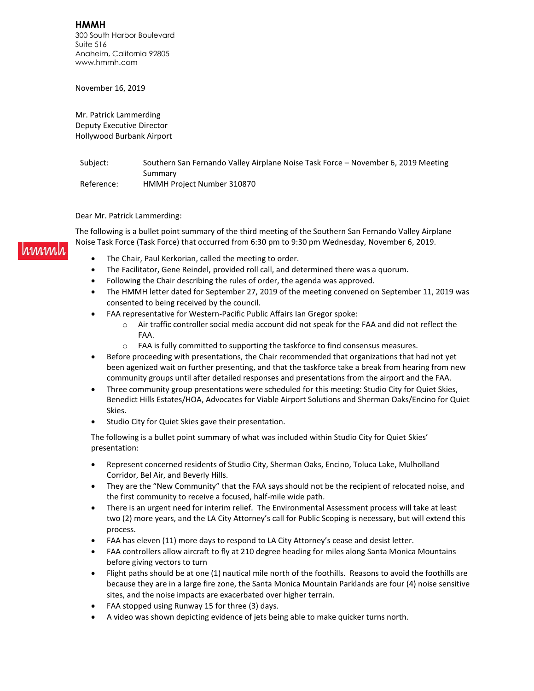**HMMH** 300 South Harbor Boulevard Suite 516 Anaheim, California 92805 www.hmmh.com

November 16, 2019

Mr. Patrick Lammerding Deputy Executive Director Hollywood Burbank Airport

Subject: Southern San Fernando Valley Airplane Noise Task Force - November 6, 2019 Meeting Summary Reference: HMMH Project Number 310870

Dear Mr. Patrick Lammerding:

The following is a bullet point summary of the third meeting of the Southern San Fernando Valley Airplane Noise Task Force (Task Force) that occurred from 6:30 pm to 9:30 pm Wednesday, November 6, 2019.

- The Chair, Paul Kerkorian, called the meeting to order.
- The Facilitator, Gene Reindel, provided roll call, and determined there was a quorum.
- Following the Chair describing the rules of order, the agenda was approved.
- The HMMH letter dated for September 27, 2019 of the meeting convened on September 11, 2019 was consented to being received by the council.
- FAA representative for Western-Pacific Public Affairs Ian Gregor spoke:
	- $\circ$  Air traffic controller social media account did not speak for the FAA and did not reflect the FAA.
	- o FAA is fully committed to supporting the taskforce to find consensus measures.
- Before proceeding with presentations, the Chair recommended that organizations that had not yet been agenized wait on further presenting, and that the taskforce take a break from hearing from new community groups until after detailed responses and presentations from the airport and the FAA.
- Three community group presentations were scheduled for this meeting: Studio City for Quiet Skies, Benedict Hills Estates/HOA, Advocates for Viable Airport Solutions and Sherman Oaks/Encino for Quiet Skies.
- Studio City for Quiet Skies gave their presentation.

The following is a bullet point summary of what was included within Studio City for Quiet Skies' presentation:

- Represent concerned residents of Studio City, Sherman Oaks, Encino, Toluca Lake, Mulholland Corridor, Bel Air, and Beverly Hills.
- They are the "New Community" that the FAA says should not be the recipient of relocated noise, and the first community to receive a focused, half-mile wide path.
- There is an urgent need for interim relief. The Environmental Assessment process will take at least two (2) more years, and the LA City Attorney's call for Public Scoping is necessary, but will extend this process.
- FAA has eleven (11) more days to respond to LA City Attorney's cease and desist letter.
- FAA controllers allow aircraft to fly at 210 degree heading for miles along Santa Monica Mountains before giving vectors to turn
- Flight paths should be at one (1) nautical mile north of the foothills. Reasons to avoid the foothills are because they are in a large fire zone, the Santa Monica Mountain Parklands are four (4) noise sensitive sites, and the noise impacts are exacerbated over higher terrain.
- FAA stopped using Runway 15 for three (3) days.
- A video was shown depicting evidence of jets being able to make quicker turns north.

immal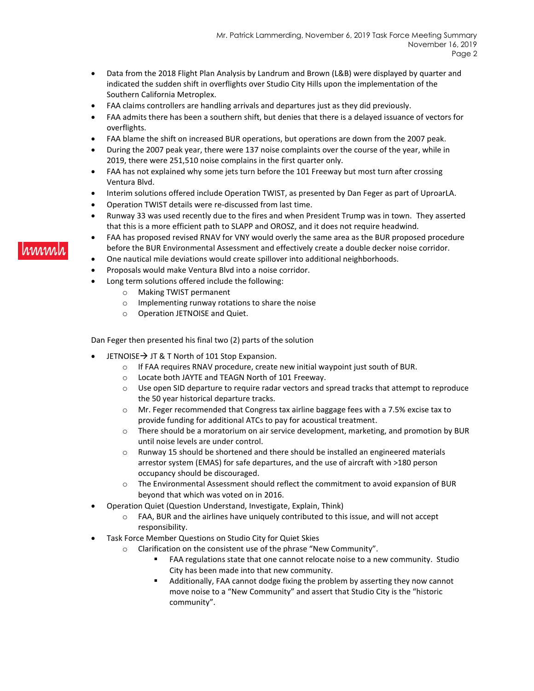- Data from the 2018 Flight Plan Analysis by Landrum and Brown (L&B) were displayed by quarter and indicated the sudden shift in overflights over Studio City Hills upon the implementation of the Southern California Metroplex.
- FAA claims controllers are handling arrivals and departures just as they did previously.
- FAA admits there has been a southern shift, but denies that there is a delayed issuance of vectors for overflights.
- FAA blame the shift on increased BUR operations, but operations are down from the 2007 peak.
- During the 2007 peak year, there were 137 noise complaints over the course of the year, while in 2019, there were 251,510 noise complains in the first quarter only.
- FAA has not explained why some jets turn before the 101 Freeway but most turn after crossing Ventura Blvd.
- Interim solutions offered include Operation TWIST, as presented by Dan Feger as part of UproarLA.
- Operation TWIST details were re-discussed from last time.
- Runway 33 was used recently due to the fires and when President Trump was in town. They asserted that this is a more efficient path to SLAPP and OROSZ, and it does not require headwind.
- FAA has proposed revised RNAV for VNY would overly the same area as the BUR proposed procedure before the BUR Environmental Assessment and effectively create a double decker noise corridor.
- One nautical mile deviations would create spillover into additional neighborhoods.
- Proposals would make Ventura Blvd into a noise corridor.
- Long term solutions offered include the following:
	- o Making TWIST permanent
	- o Implementing runway rotations to share the noise
	- o Operation JETNOISE and Quiet.

Dan Feger then presented his final two (2) parts of the solution

- JETNOISE  $\rightarrow$  JT & T North of 101 Stop Expansion.
	- o If FAA requires RNAV procedure, create new initial waypoint just south of BUR.
	- o Locate both JAYTE and TEAGN North of 101 Freeway.
	- o Use open SID departure to require radar vectors and spread tracks that attempt to reproduce the 50 year historical departure tracks.
	- $\circ$  Mr. Feger recommended that Congress tax airline baggage fees with a 7.5% excise tax to provide funding for additional ATCs to pay for acoustical treatment.
	- o There should be a moratorium on air service development, marketing, and promotion by BUR until noise levels are under control.
	- $\circ$  Runway 15 should be shortened and there should be installed an engineered materials arrestor system (EMAS) for safe departures, and the use of aircraft with >180 person occupancy should be discouraged.
	- o The Environmental Assessment should reflect the commitment to avoid expansion of BUR beyond that which was voted on in 2016.
- Operation Quiet (Question Understand, Investigate, Explain, Think)
	- o FAA, BUR and the airlines have uniquely contributed to this issue, and will not accept responsibility.
- Task Force Member Questions on Studio City for Quiet Skies
	- o Clarification on the consistent use of the phrase "New Community".
		- FAA regulations state that one cannot relocate noise to a new community. Studio City has been made into that new community.
		- Additionally, FAA cannot dodge fixing the problem by asserting they now cannot move noise to a "New Community" and assert that Studio City is the "historic community".

#### www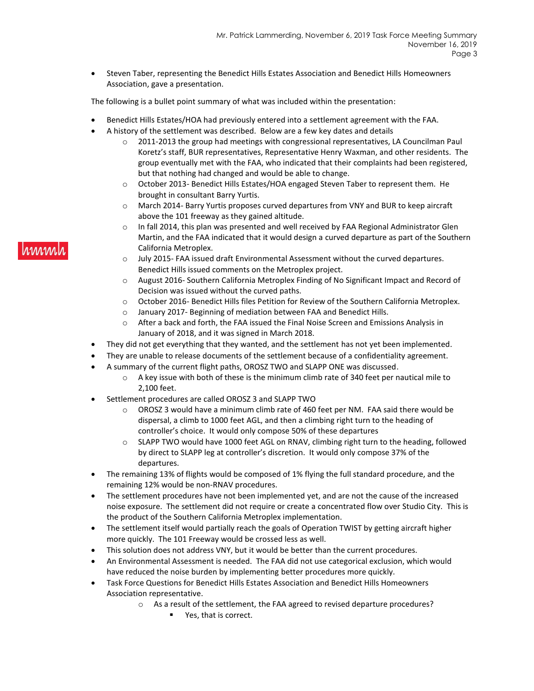• Steven Taber, representing the Benedict Hills Estates Association and Benedict Hills Homeowners Association, gave a presentation.

The following is a bullet point summary of what was included within the presentation:

- Benedict Hills Estates/HOA had previously entered into a settlement agreement with the FAA.
- A history of the settlement was described. Below are a few key dates and details
	- o 2011-2013 the group had meetings with congressional representatives, LA Councilman Paul Koretz's staff, BUR representatives, Representative Henry Waxman, and other residents. The group eventually met with the FAA, who indicated that their complaints had been registered, but that nothing had changed and would be able to change.
	- o October 2013- Benedict Hills Estates/HOA engaged Steven Taber to represent them. He brought in consultant Barry Yurtis.
	- o March 2014- Barry Yurtis proposes curved departures from VNY and BUR to keep aircraft above the 101 freeway as they gained altitude.
	- $\circ$  In fall 2014, this plan was presented and well received by FAA Regional Administrator Glen Martin, and the FAA indicated that it would design a curved departure as part of the Southern California Metroplex.
	- o July 2015- FAA issued draft Environmental Assessment without the curved departures. Benedict Hills issued comments on the Metroplex project.
	- o August 2016- Southern California Metroplex Finding of No Significant Impact and Record of Decision was issued without the curved paths.
	- o October 2016- Benedict Hills files Petition for Review of the Southern California Metroplex.
	- o January 2017- Beginning of mediation between FAA and Benedict Hills.
	- o After a back and forth, the FAA issued the Final Noise Screen and Emissions Analysis in January of 2018, and it was signed in March 2018.
- They did not get everything that they wanted, and the settlement has not yet been implemented.
- They are unable to release documents of the settlement because of a confidentiality agreement.
- A summary of the current flight paths, OROSZ TWO and SLAPP ONE was discussed.
	- $\circ$  A key issue with both of these is the minimum climb rate of 340 feet per nautical mile to 2,100 feet.
- Settlement procedures are called OROSZ 3 and SLAPP TWO
	- $\circ$  OROSZ 3 would have a minimum climb rate of 460 feet per NM. FAA said there would be dispersal, a climb to 1000 feet AGL, and then a climbing right turn to the heading of controller's choice. It would only compose 50% of these departures
	- o SLAPP TWO would have 1000 feet AGL on RNAV, climbing right turn to the heading, followed by direct to SLAPP leg at controller's discretion. It would only compose 37% of the departures.
- The remaining 13% of flights would be composed of 1% flying the full standard procedure, and the remaining 12% would be non-RNAV procedures.
- The settlement procedures have not been implemented yet, and are not the cause of the increased noise exposure. The settlement did not require or create a concentrated flow over Studio City. This is the product of the Southern California Metroplex implementation.
- The settlement itself would partially reach the goals of Operation TWIST by getting aircraft higher more quickly. The 101 Freeway would be crossed less as well.
- This solution does not address VNY, but it would be better than the current procedures.
- An Environmental Assessment is needed. The FAA did not use categorical exclusion, which would have reduced the noise burden by implementing better procedures more quickly.
- Task Force Questions for Benedict Hills Estates Association and Benedict Hills Homeowners Association representative.
	- o As a result of the settlement, the FAA agreed to revised departure procedures?
		- Yes, that is correct.

## rmm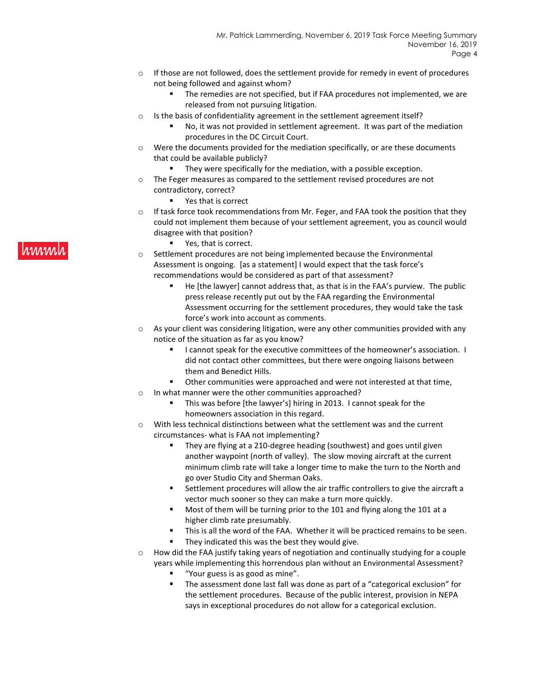- $\circ$  If those are not followed, does the settlement provide for remedy in event of procedures not being followed and against whom?
	- The remedies are not specified, but if FAA procedures not implemented, we are released from not pursuing litigation.
- o Is the basis of confidentiality agreement in the settlement agreement itself?
	- No, it was not provided in settlement agreement. It was part of the mediation procedures in the DC Circuit Court.
- $\circ$  Were the documents provided for the mediation specifically, or are these documents that could be available publicly?
	- They were specifically for the mediation, with a possible exception.
- o The Feger measures as compared to the settlement revised procedures are not contradictory, correct?
	- Yes that is correct
- $\circ$  If task force took recommendations from Mr. Feger, and FAA took the position that they could not implement them because of your settlement agreement, you as council would disagree with that position?
	- Yes, that is correct.
- o Settlement procedures are not being implemented because the Environmental Assessment is ongoing. [as a statement] I would expect that the task force's recommendations would be considered as part of that assessment?
	- He [the lawyer] cannot address that, as that is in the FAA's purview. The public press release recently put out by the FAA regarding the Environmental Assessment occurring for the settlement procedures, they would take the task force's work into account as comments.
- $\circ$  As your client was considering litigation, were any other communities provided with any notice of the situation as far as you know?
	- I cannot speak for the executive committees of the homeowner's association. I did not contact other committees, but there were ongoing liaisons between them and Benedict Hills.
	- Other communities were approached and were not interested at that time,
- o In what manner were the other communities approached?
	- This was before [the lawyer's] hiring in 2013. I cannot speak for the homeowners association in this regard.
- $\circ$  With less technical distinctions between what the settlement was and the current circumstances- what is FAA not implementing?
	- They are flying at a 210-degree heading (southwest) and goes until given another waypoint (north of valley). The slow moving aircraft at the current minimum climb rate will take a longer time to make the turn to the North and go over Studio City and Sherman Oaks.
	- Settlement procedures will allow the air traffic controllers to give the aircraft a vector much sooner so they can make a turn more quickly.
	- Most of them will be turning prior to the 101 and flying along the 101 at a higher climb rate presumably.
	- This is all the word of the FAA. Whether it will be practiced remains to be seen.
	- They indicated this was the best they would give.
- $\circ$  How did the FAA justify taking years of negotiation and continually studying for a couple years while implementing this horrendous plan without an Environmental Assessment?
	- "Your guess is as good as mine".
	- The assessment done last fall was done as part of a "categorical exclusion" for the settlement procedures. Because of the public interest, provision in NEPA says in exceptional procedures do not allow for a categorical exclusion.

# **MWW**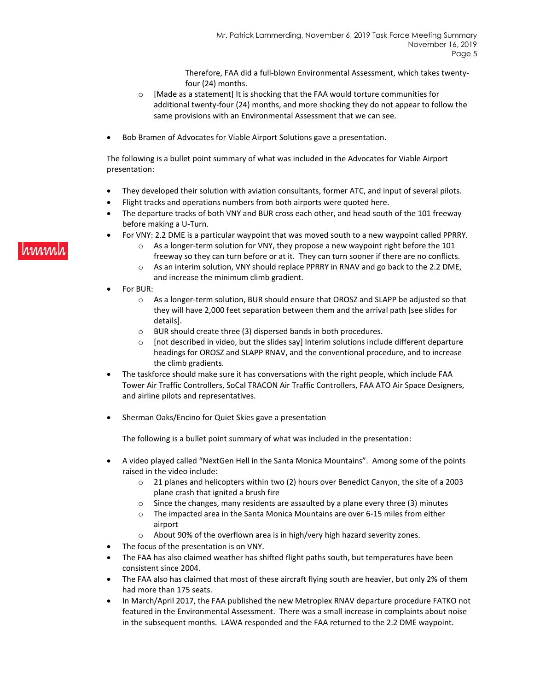Therefore, FAA did a full-blown Environmental Assessment, which takes twentyfour (24) months.

- o [Made as a statement] It is shocking that the FAA would torture communities for additional twenty-four (24) months, and more shocking they do not appear to follow the same provisions with an Environmental Assessment that we can see.
- Bob Bramen of Advocates for Viable Airport Solutions gave a presentation.

The following is a bullet point summary of what was included in the Advocates for Viable Airport presentation:

- They developed their solution with aviation consultants, former ATC, and input of several pilots.
- Flight tracks and operations numbers from both airports were quoted here.
- The departure tracks of both VNY and BUR cross each other, and head south of the 101 freeway before making a U-Turn.
- For VNY: 2.2 DME is a particular waypoint that was moved south to a new waypoint called PPRRY.
	- $\circ$  As a longer-term solution for VNY, they propose a new waypoint right before the 101 freeway so they can turn before or at it. They can turn sooner if there are no conflicts.
	- $\circ$  As an interim solution, VNY should replace PPRRY in RNAV and go back to the 2.2 DME, and increase the minimum climb gradient.
- For BUR:
	- o As a longer-term solution, BUR should ensure that OROSZ and SLAPP be adjusted so that they will have 2,000 feet separation between them and the arrival path [see slides for details].
	- o BUR should create three (3) dispersed bands in both procedures.
	- $\circ$  [not described in video, but the slides say] Interim solutions include different departure headings for OROSZ and SLAPP RNAV, and the conventional procedure, and to increase the climb gradients.
- The taskforce should make sure it has conversations with the right people, which include FAA Tower Air Traffic Controllers, SoCal TRACON Air Traffic Controllers, FAA ATO Air Space Designers, and airline pilots and representatives.
- Sherman Oaks/Encino for Quiet Skies gave a presentation

The following is a bullet point summary of what was included in the presentation:

- A video played called "NextGen Hell in the Santa Monica Mountains". Among some of the points raised in the video include:
	- o 21 planes and helicopters within two (2) hours over Benedict Canyon, the site of a 2003 plane crash that ignited a brush fire
	- $\circ$  Since the changes, many residents are assaulted by a plane every three (3) minutes
	- $\circ$  The impacted area in the Santa Monica Mountains are over 6-15 miles from either airport
	- o About 90% of the overflown area is in high/very high hazard severity zones.
- The focus of the presentation is on VNY.
- The FAA has also claimed weather has shifted flight paths south, but temperatures have been consistent since 2004.
- The FAA also has claimed that most of these aircraft flying south are heavier, but only 2% of them had more than 175 seats.
- In March/April 2017, the FAA published the new Metroplex RNAV departure procedure FATKO not featured in the Environmental Assessment. There was a small increase in complaints about noise in the subsequent months. LAWA responded and the FAA returned to the 2.2 DME waypoint.

# hmml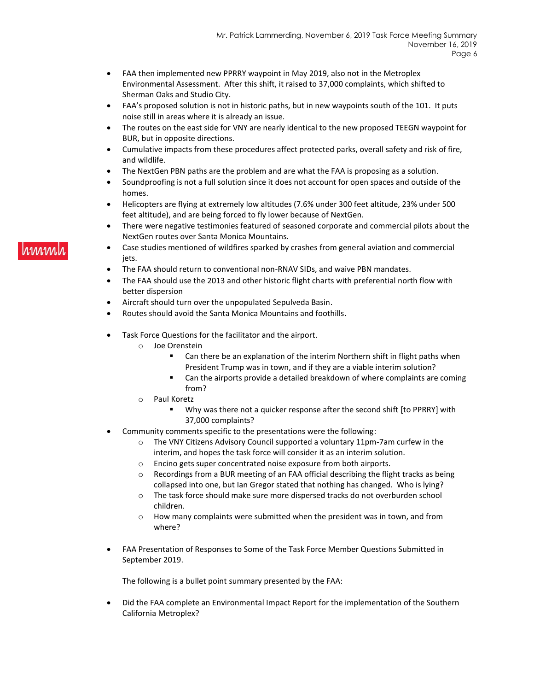- FAA then implemented new PPRRY waypoint in May 2019, also not in the Metroplex Environmental Assessment. After this shift, it raised to 37,000 complaints, which shifted to Sherman Oaks and Studio City.
- FAA's proposed solution is not in historic paths, but in new waypoints south of the 101. It puts noise still in areas where it is already an issue.
- The routes on the east side for VNY are nearly identical to the new proposed TEEGN waypoint for BUR, but in opposite directions.
- Cumulative impacts from these procedures affect protected parks, overall safety and risk of fire, and wildlife.
- The NextGen PBN paths are the problem and are what the FAA is proposing as a solution.
- Soundproofing is not a full solution since it does not account for open spaces and outside of the homes.
- Helicopters are flying at extremely low altitudes (7.6% under 300 feet altitude, 23% under 500 feet altitude), and are being forced to fly lower because of NextGen.
- There were negative testimonies featured of seasoned corporate and commercial pilots about the NextGen routes over Santa Monica Mountains.
- Case studies mentioned of wildfires sparked by crashes from general aviation and commercial jets.
- The FAA should return to conventional non-RNAV SIDs, and waive PBN mandates.
- The FAA should use the 2013 and other historic flight charts with preferential north flow with better dispersion
- Aircraft should turn over the unpopulated Sepulveda Basin.
- Routes should avoid the Santa Monica Mountains and foothills.
- Task Force Questions for the facilitator and the airport.
	- o Joe Orenstein
		- Can there be an explanation of the interim Northern shift in flight paths when President Trump was in town, and if they are a viable interim solution?
		- Can the airports provide a detailed breakdown of where complaints are coming from?
	- o Paul Koretz
		- Why was there not a quicker response after the second shift [to PPRRY] with 37,000 complaints?
- Community comments specific to the presentations were the following:
	- o The VNY Citizens Advisory Council supported a voluntary 11pm-7am curfew in the interim, and hopes the task force will consider it as an interim solution.
	- o Encino gets super concentrated noise exposure from both airports.
	- $\circ$  Recordings from a BUR meeting of an FAA official describing the flight tracks as being collapsed into one, but Ian Gregor stated that nothing has changed. Who is lying?
	- o The task force should make sure more dispersed tracks do not overburden school children.
	- o How many complaints were submitted when the president was in town, and from where?
- FAA Presentation of Responses to Some of the Task Force Member Questions Submitted in September 2019.

The following is a bullet point summary presented by the FAA:

• Did the FAA complete an Environmental Impact Report for the implementation of the Southern California Metroplex?

#### hmm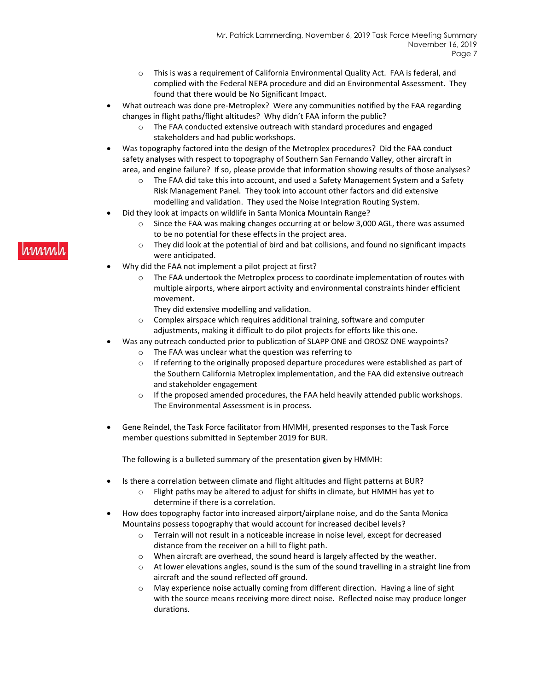- This is was a requirement of California Environmental Quality Act. FAA is federal, and complied with the Federal NEPA procedure and did an Environmental Assessment. They found that there would be No Significant Impact.
- What outreach was done pre-Metroplex? Were any communities notified by the FAA regarding changes in flight paths/flight altitudes? Why didn't FAA inform the public?
	- $\circ$  The FAA conducted extensive outreach with standard procedures and engaged stakeholders and had public workshops.
- Was topography factored into the design of the Metroplex procedures? Did the FAA conduct safety analyses with respect to topography of Southern San Fernando Valley, other aircraft in area, and engine failure? If so, please provide that information showing results of those analyses?
	- o The FAA did take this into account, and used a Safety Management System and a Safety Risk Management Panel. They took into account other factors and did extensive modelling and validation. They used the Noise Integration Routing System.
	- Did they look at impacts on wildlife in Santa Monica Mountain Range?
		- $\circ$  Since the FAA was making changes occurring at or below 3,000 AGL, there was assumed to be no potential for these effects in the project area.
		- $\circ$  They did look at the potential of bird and bat collisions, and found no significant impacts were anticipated.
- Why did the FAA not implement a pilot project at first?
	- o The FAA undertook the Metroplex process to coordinate implementation of routes with multiple airports, where airport activity and environmental constraints hinder efficient movement.
		- They did extensive modelling and validation.
	- $\circ$  Complex airspace which requires additional training, software and computer adjustments, making it difficult to do pilot projects for efforts like this one.
	- Was any outreach conducted prior to publication of SLAPP ONE and OROSZ ONE waypoints?
		- o The FAA was unclear what the question was referring to
		- $\circ$  If referring to the originally proposed departure procedures were established as part of the Southern California Metroplex implementation, and the FAA did extensive outreach and stakeholder engagement
		- $\circ$  If the proposed amended procedures, the FAA held heavily attended public workshops. The Environmental Assessment is in process.
- Gene Reindel, the Task Force facilitator from HMMH, presented responses to the Task Force member questions submitted in September 2019 for BUR.

The following is a bulleted summary of the presentation given by HMMH:

- Is there a correlation between climate and flight altitudes and flight patterns at BUR?
	- $\circ$  Flight paths may be altered to adjust for shifts in climate, but HMMH has yet to determine if there is a correlation.
- How does topography factor into increased airport/airplane noise, and do the Santa Monica Mountains possess topography that would account for increased decibel levels?
	- o Terrain will not result in a noticeable increase in noise level, except for decreased distance from the receiver on a hill to flight path.
	- o When aircraft are overhead, the sound heard is largely affected by the weather.
	- $\circ$  At lower elevations angles, sound is the sum of the sound travelling in a straight line from aircraft and the sound reflected off ground.
	- $\circ$  May experience noise actually coming from different direction. Having a line of sight with the source means receiving more direct noise. Reflected noise may produce longer durations.

# hmml